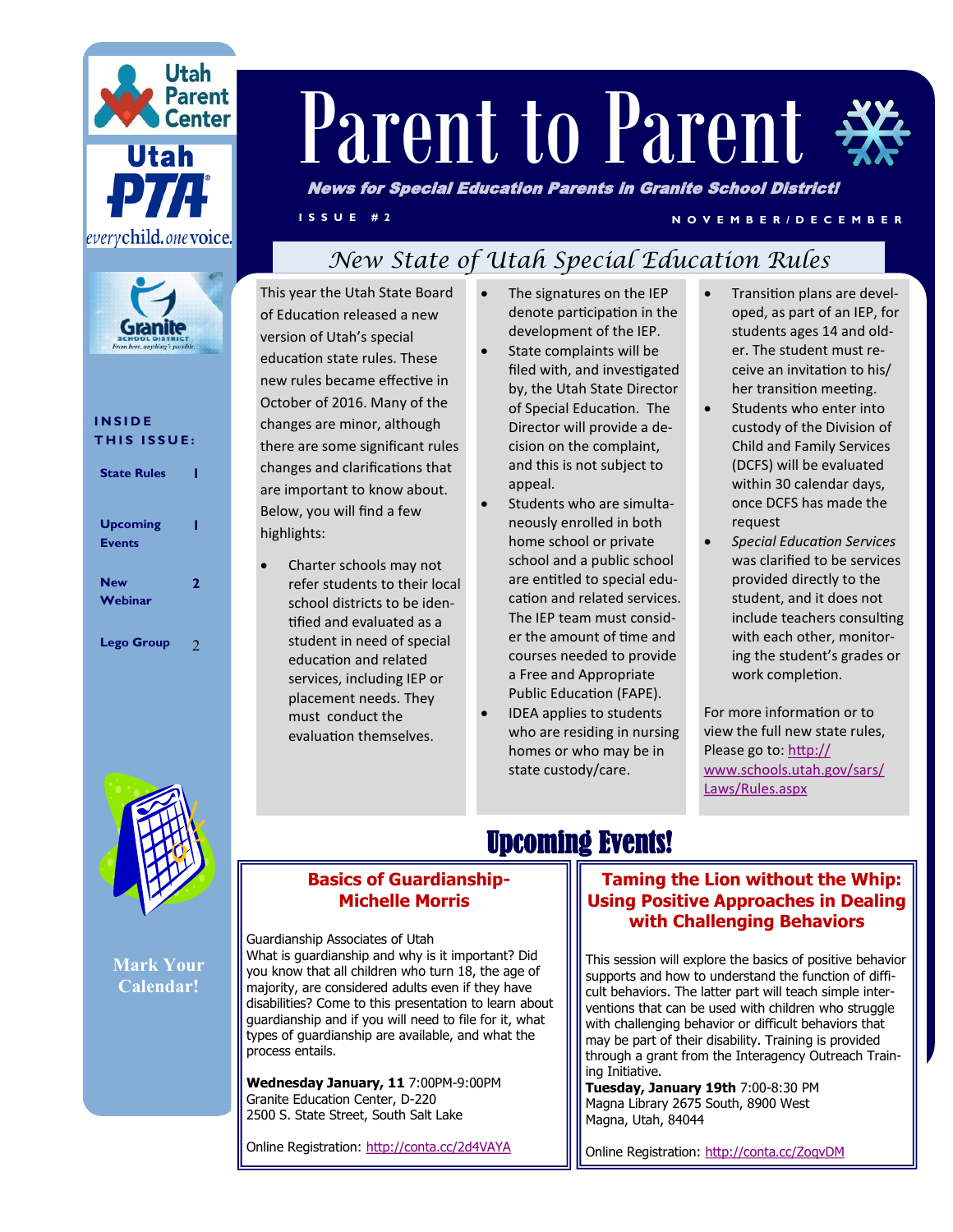



#### **I N S I D E THIS ISSUE:**

| <b>State Rules</b>               |   |
|----------------------------------|---|
| <b>Upcoming</b><br><b>Events</b> | ı |
| <b>New</b><br>Webinar            | 2 |
| <b>Lego Group</b>                | 2 |

# Parent to Parent .

News for Special Education Parents in Granite School District!

#### **I S S U E # 2 N O V E M B E R / D E C E M B E R**

## *New State of Utah Special Education Rules*

This year the Utah State Board of Education released a new version of Utah's special education state rules. These new rules became effective in October of 2016. Many of the changes are minor, although there are some significant rules changes and clarifications that are important to know about. Below, you will find a few highlights:

 Charter schools may not refer students to their local school districts to be identified and evaluated as a student in need of special education and related services, including IEP or placement needs. They must conduct the evaluation themselves.

- The signatures on the IEP denote participation in the development of the IEP.
	- State complaints will be filed with, and investigated by, the Utah State Director of Special Education. The Director will provide a decision on the complaint, and this is not subject to appeal.
	- Students who are simultaneously enrolled in both home school or private school and a public school are entitled to special education and related services. The IEP team must consider the amount of time and courses needed to provide a Free and Appropriate Public Education (FAPE).
- IDEA applies to students who are residing in nursing homes or who may be in state custody/care.
- Transition plans are developed, as part of an IEP, for students ages 14 and older. The student must receive an invitation to his/ her transition meeting.
- Students who enter into custody of the Division of Child and Family Services (DCFS) will be evaluated within 30 calendar days, once DCFS has made the request
- *Special Education Services* was clarified to be services provided directly to the student, and it does not include teachers consulting with each other, monitoring the student's grades or work completion.

For more information or to view the full new state rules, Please go to: [http://](http://www.schools.utah.gov/sars/Laws/Rules.aspx) [www.schools.utah.gov/sars/](http://www.schools.utah.gov/sars/Laws/Rules.aspx) [Laws/Rules.aspx](http://www.schools.utah.gov/sars/Laws/Rules.aspx)



**Mark Your Calendar!**

## **Basics of Guardianship-**Upcoming Events!

## **Michelle Morris**

Guardianship Associates of Utah What is guardianship and why is it important? Did you know that all children who turn 18, the age of majority, are considered adults even if they have disabilities? Come to this presentation to learn about guardianship and if you will need to file for it, what types of guardianship are available, and what the process entails.

**Wednesday January, 11** 7:00PM-9:00PM Granite Education Center, D-220 2500 S. State Street, South Salt Lake

Online Registration:<http://conta.cc/2d4VAYA>

#### **[T](http://conta.cc/1OTrsaY)aming the Lion without the Whip: Using Positive Approaches in Dealing with Challenging Behaviors**

This session will explore the basics of positive behavior supports and how to understand the function of difficult behaviors. The latter part will teach simple interventions that can be used with children who struggle with challenging behavior or difficult behaviors that may be part of their disability. Training is provided through a grant from the Interagency Outreach Training Initiative.

**Tuesday, January 19th** 7:00-8:30 PM Magna Library 2675 South, 8900 West Magna, Utah, 84044

Online Registration:<http://conta.cc/ZoqvDM>